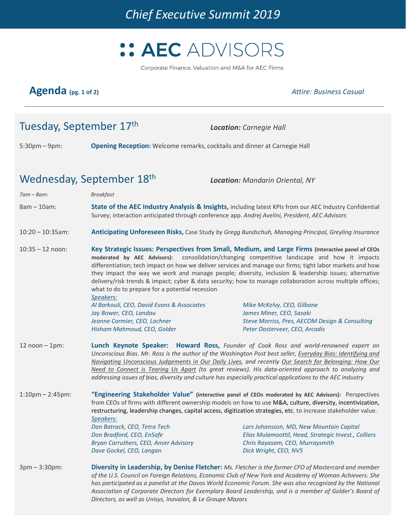

Corporate Finance, Valuation and M&A for AEC Firms

# **Agenda (pg. 1 of 2)** *Attire: Business Casual*

# Tuesday, September 17th *Location: Carnegie Hall*

5:30pm – 9pm: **Opening Reception:** Welcome remarks, cocktails and dinner at Carnegie Hall

# Wednesday, September 18th *Location: Mandarin Oriental, NY*

| $7am - 8am$ :          | <b>Breakfast</b>                                                                                                                                                                                                                                                                                                                                                                                                                                                                                                                                                                                                                                    |                                                                            |
|------------------------|-----------------------------------------------------------------------------------------------------------------------------------------------------------------------------------------------------------------------------------------------------------------------------------------------------------------------------------------------------------------------------------------------------------------------------------------------------------------------------------------------------------------------------------------------------------------------------------------------------------------------------------------------------|----------------------------------------------------------------------------|
| $8am - 10am$ :         | State of the AEC Industry Analysis & Insights, including latest KPIs from our AEC Industry Confidential<br>Survey; interaction anticipated through conference app. Andrej Avelini, President, AEC Advisors                                                                                                                                                                                                                                                                                                                                                                                                                                          |                                                                            |
| $10:20 - 10:35$ am:    | Anticipating Unforeseen Risks, Case Study by Gregg Bundschuh, Managing Principal, Greyling Insurance                                                                                                                                                                                                                                                                                                                                                                                                                                                                                                                                                |                                                                            |
| $10:35 - 12$ noon:     | Key Strategic Issues: Perspectives from Small, Medium, and Large Firms (Interactive panel of CEOs<br>moderated by AEC Advisors):<br>consolidation/changing competitive landscape and how it impacts<br>differentiation; tech impact on how we deliver services and manage our firms; tight labor markets and how<br>they impact the way we work and manage people; diversity, inclusion & leadership issues; alternative<br>delivery/risk trends & impact; cyber & data security; how to manage collaboration across multiple offices;<br>what to do to prepare for a potential recession<br>Speakers:                                              |                                                                            |
|                        | Al Barkouli, CEO, David Evans & Associates                                                                                                                                                                                                                                                                                                                                                                                                                                                                                                                                                                                                          | Mike McKelvy, CEO, Gilbane                                                 |
|                        | Jay Bower, CEO, Landau<br>Jeanne Cormier, CEO, Lochner                                                                                                                                                                                                                                                                                                                                                                                                                                                                                                                                                                                              | James Miner, CEO, Sasaki<br>Steve Morriss, Pres, AECOM Design & Consulting |
|                        | Hisham Mahmoud, CEO, Golder                                                                                                                                                                                                                                                                                                                                                                                                                                                                                                                                                                                                                         | Peter Oosterveer, CEO, Arcadis                                             |
| $12$ noon $-1$ pm:     | Lunch Keynote Speaker: Howard Ross, Founder of Cook Ross and world-renowned expert on<br>Unconscious Bias. Mr. Ross is the author of the Washington Post best seller, Everyday Bias: Identifying and<br>Navigating Unconscious Judgements in Our Daily Lives, and recently Our Search for Belonging: How Our<br>Need to Connect is Tearing Us Apart (to great reviews). His data-oriented approach to analyzing and<br>addressing issues of bias, diversity and culture has especially practical applications to the AEC industry                                                                                                                   |                                                                            |
| $1:10$ pm $- 2:45$ pm: | "Engineering Stakeholder Value" (interactive panel of CEOs moderated by AEC Advisors): Perspectives<br>from CEOs of firms with different ownership models on how to use M&A, culture, diversity, incentivization,<br>restructuring, leadership changes, capital access, digitization strategies, etc. to increase stakeholder value.<br>Speakers:<br>Dan Batrack, CEO, Tetra Tech<br>Lars Johansson, MD, New Mountain Capital<br>Don Bradford, CEO, EnSafe<br>Elias Mulamoottil, Head, Strategic Invest., Colliers<br>Bryan Carruthers, CEO, Anser Advisory<br>Chris Rayasam, CEO, Murraysmith<br>Dave Gockel, CEO, Langan<br>Dick Wright, CEO, NV5 |                                                                            |
| $3pm - 3:30pm:$        | Diversity in Leadership, by Denise Fletcher: Ms. Fletcher is the former CFO of Mastercard and member<br>of the U.S. Council on Foreign Relations, Economic Club of New York and Academy of Woman Achievers. She<br>has participated as a panelist at the Davos World Economic Forum. She was also recognized by the National<br>Association of Corporate Directors for Exemplary Board Leadership, and is a member of Golder's Board of<br>Directors, as well as Unisys, Inovalon, & Le Groupe Mazars                                                                                                                                               |                                                                            |